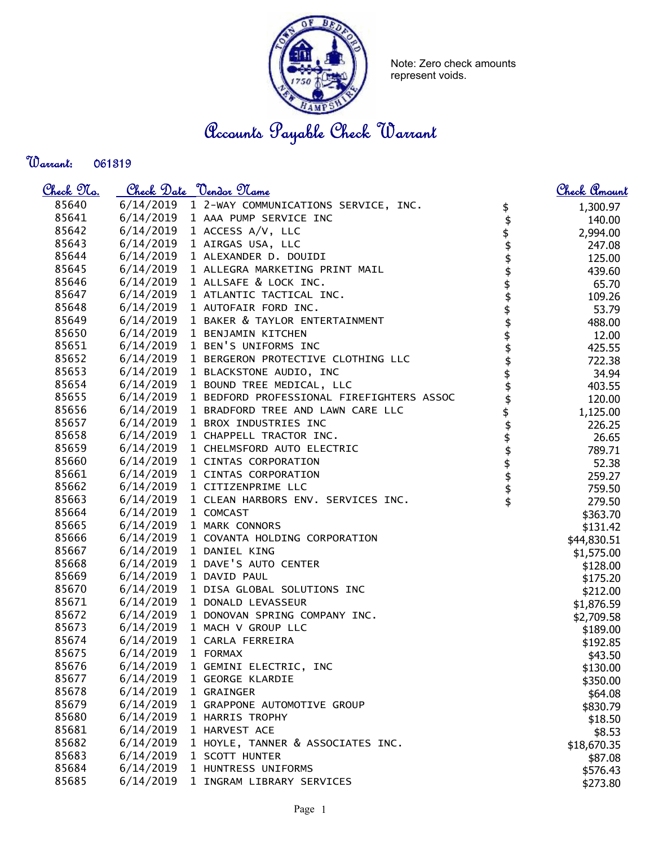

Note: Zero check amounts represent voids.

Accounts Payable Check Warrant

Warrant: 

| <u>Check 97a.</u> |                     | Check Date <u>Vendor Name</u>                       |                                         | <u>Check Amount</u> |
|-------------------|---------------------|-----------------------------------------------------|-----------------------------------------|---------------------|
| 85640             |                     | 6/14/2019 1 2-WAY COMMUNICATIONS SERVICE, INC.      |                                         | 1,300.97            |
| 85641             |                     | 6/14/2019 1 AAA PUMP SERVICE INC                    | $\updownarrow$                          | 140.00              |
| 85642             |                     | 6/14/2019 1 ACCESS A/V, LLC                         |                                         | 2,994.00            |
| 85643             |                     | 6/14/2019 1 AIRGAS USA, LLC                         |                                         | 247.08              |
| 85644             |                     | 6/14/2019 1 ALEXANDER D. DOUIDI                     |                                         | 125.00              |
| 85645             |                     | 6/14/2019 1 ALLEGRA MARKETING PRINT MAIL            |                                         | 439.60              |
| 85646             |                     | 6/14/2019 1 ALLSAFE & LOCK INC.                     |                                         | 65.70               |
| 85647             |                     | 6/14/2019 1 ATLANTIC TACTICAL INC.                  | <b>\$\$\$\$\$\$</b>                     | 109.26              |
| 85648             |                     | 6/14/2019 1 AUTOFAIR FORD INC.                      |                                         | 53.79               |
| 85649             |                     | 6/14/2019 1 BAKER & TAYLOR ENTERTAINMENT            | <b>\$\$\$\$\$\$\$\$\$\$\$\$\$\$\$\$</b> | 488.00              |
| 85650             |                     | 6/14/2019 1 BENJAMIN KITCHEN                        |                                         | 12.00               |
| 85651             |                     | 6/14/2019 1 BEN'S UNIFORMS INC                      |                                         | 425.55              |
| 85652             |                     | 6/14/2019 1 BERGERON PROTECTIVE CLOTHING LLC        |                                         | 722.38              |
| 85653             |                     | 6/14/2019 1 BLACKSTONE AUDIO, INC                   |                                         | 34.94               |
| 85654             |                     | 6/14/2019 1 BOUND TREE MEDICAL, LLC                 |                                         | 403.55              |
| 85655             |                     | 6/14/2019 1 BEDFORD PROFESSIONAL FIREFIGHTERS ASSOC |                                         | 120.00              |
| 85656             |                     | 6/14/2019 1 BRADFORD TREE AND LAWN CARE LLC         |                                         | 1,125.00            |
| 85657             |                     | 6/14/2019 1 BROX INDUSTRIES INC                     |                                         | 226.25              |
| 85658             |                     | 6/14/2019 1 CHAPPELL TRACTOR INC.                   |                                         | 26.65               |
| 85659             |                     | 6/14/2019 1 CHELMSFORD AUTO ELECTRIC                |                                         | 789.71              |
| 85660             |                     | 6/14/2019 1 CINTAS CORPORATION                      |                                         | 52.38               |
| 85661             |                     | 6/14/2019 1 CINTAS CORPORATION                      |                                         | 259.27              |
| 85662             |                     | 6/14/2019 1 CITIZENPRIME LLC                        |                                         | 759.50              |
| 85663             |                     | 6/14/2019 1 CLEAN HARBORS ENV. SERVICES INC.        |                                         | 279.50              |
| 85664             | 6/14/2019 1 COMCAST |                                                     |                                         | \$363.70            |
| 85665             |                     | 6/14/2019 1 MARK CONNORS                            |                                         | \$131.42            |
| 85666             |                     | 6/14/2019 1 COVANTA HOLDING CORPORATION             |                                         | \$44,830.51         |
| 85667             |                     | 6/14/2019 1 DANIEL KING                             |                                         | \$1,575.00          |
| 85668             |                     | 6/14/2019 1 DAVE'S AUTO CENTER                      |                                         | \$128.00            |
| 85669             |                     | 6/14/2019 1 DAVID PAUL                              |                                         | \$175.20            |
| 85670             |                     | 6/14/2019 1 DISA GLOBAL SOLUTIONS INC               |                                         | \$212.00            |
| 85671             |                     | 6/14/2019 1 DONALD LEVASSEUR                        |                                         | \$1,876.59          |
| 85672             |                     | 6/14/2019 1 DONOVAN SPRING COMPANY INC.             |                                         | \$2,709.58          |
| 85673             |                     | 6/14/2019 1 MACH V GROUP LLC                        |                                         | \$189.00            |
| 85674             |                     | 6/14/2019 1 CARLA FERREIRA                          |                                         | \$192.85            |
| 85675             | 6/14/2019           | 1 FORMAX                                            |                                         | \$43.50             |
| 85676             | 6/14/2019           | 1 GEMINI ELECTRIC, INC                              |                                         | \$130.00            |
| 85677             | 6/14/2019           | 1 GEORGE KLARDIE                                    |                                         | \$350.00            |
| 85678             | 6/14/2019           | 1 GRAINGER                                          |                                         | \$64.08             |
| 85679             | 6/14/2019           | 1 GRAPPONE AUTOMOTIVE GROUP                         |                                         | \$830.79            |
| 85680             | 6/14/2019           | 1 HARRIS TROPHY                                     |                                         | \$18.50             |
| 85681             | 6/14/2019           | 1 HARVEST ACE                                       |                                         | \$8.53              |
| 85682             | 6/14/2019           | 1 HOYLE, TANNER & ASSOCIATES INC.                   |                                         | \$18,670.35         |
| 85683             | 6/14/2019           | 1 SCOTT HUNTER                                      |                                         | \$87.08             |
| 85684             | 6/14/2019           | 1 HUNTRESS UNIFORMS                                 |                                         | \$576.43            |
| 85685             | 6/14/2019           | 1 INGRAM LIBRARY SERVICES                           |                                         | \$273.80            |
|                   |                     |                                                     |                                         |                     |